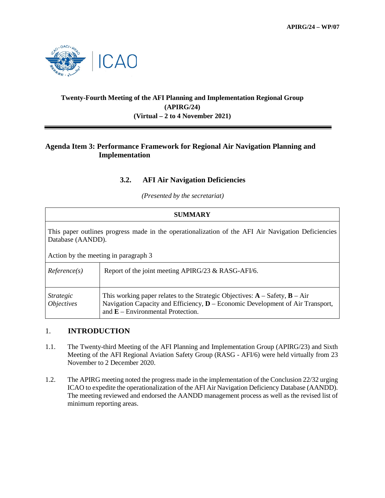

# **Twenty-Fourth Meeting of the AFI Planning and Implementation Regional Group (APIRG/24) (Virtual – 2 to 4 November 2021)**

## **Agenda Item 3: Performance Framework for Regional Air Navigation Planning and Implementation**

## **3.2. AFI Air Navigation Deficiencies**

*(Presented by the secretariat)*

| <b>SUMMARY</b>                                                                                                          |                                                                                                                                                                                                                  |
|-------------------------------------------------------------------------------------------------------------------------|------------------------------------------------------------------------------------------------------------------------------------------------------------------------------------------------------------------|
| This paper outlines progress made in the operationalization of the AFI Air Navigation Deficiencies<br>Database (AANDD). |                                                                                                                                                                                                                  |
| Action by the meeting in paragraph 3                                                                                    |                                                                                                                                                                                                                  |
| Reference(s)                                                                                                            | Report of the joint meeting APIRG/23 & RASG-AFI/6.                                                                                                                                                               |
| <i>Strategic</i><br><i>Objectives</i>                                                                                   | This working paper relates to the Strategic Objectives: $A - S$ afety, $B - Air$<br>Navigation Capacity and Efficiency, <b>D</b> – Economic Development of Air Transport,<br>and $E$ – Environmental Protection. |

#### 1. **INTRODUCTION**

- 1.1. The Twenty-third Meeting of the AFI Planning and Implementation Group (APIRG/23) and Sixth Meeting of the AFI Regional Aviation Safety Group (RASG - AFI/6) were held virtually from 23 November to 2 December 2020.
- 1.2. The APIRG meeting noted the progress made in the implementation of the Conclusion 22/32 urging ICAO to expedite the operationalization of the AFI Air Navigation Deficiency Database (AANDD). The meeting reviewed and endorsed the AANDD management process as well as the revised list of minimum reporting areas.